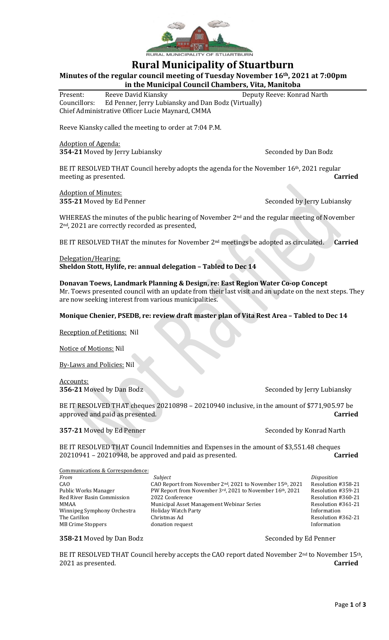

# **Rural Municipality of Stuartburn**

**Minutes of the regular council meeting of Tuesday November 16th, 2021 at 7:00pm in the Municipal Council Chambers, Vita, Manitoba**

Present: Reeve David Kiansky Deputy Reeve: Konrad Narth Councillors: Ed Penner, Jerry Lubiansky and Dan Bodz (Virtually) Chief Administrative Officer Lucie Maynard, CMMA

Reeve Kiansky called the meeting to order at 7:04 P.M.

Adoption of Agenda: **354-21** Moved by Jerry Lubiansky Seconded by Dan Bodz

BE IT RESOLVED THAT Council hereby adopts the agenda for the November 16<sup>th</sup>, 2021 regular meeting as presented. **Carried**

Adoption of Minutes: **355-21** Moved by Ed Penner Seconded by Jerry Lubiansky

WHEREAS the minutes of the public hearing of November 2<sup>nd</sup> and the regular meeting of November 2nd, 2021 are correctly recorded as presented,

BE IT RESOLVED THAT the minutes for November 2nd meetings be adopted as circulated. **Carried**

## Delegation/Hearing: **Sheldon Stott, Hylife, re: annual delegation – Tabled to Dec 14**

# **Donavan Toews, Landmark Planning & Design, re: East Region Water Co-op Concept**

Mr. Toews presented council with an update from their last visit and an update on the next steps. They are now seeking interest from various municipalities.

### **Monique Chenier, PSEDB, re: review draft master plan of Vita Rest Area – Tabled to Dec 14**

Reception of Petitions: Nil

Notice of Motions: Nil

By-Laws and Policies: Nil

Accounts:

**356-21** Moved by Dan Bodz Seconded by Jerry Lubiansky

BE IT RESOLVED THAT cheques 20210898 – 20210940 inclusive, in the amount of \$771,905.97 be approved and paid as presented. **Carried**

**357-21** Moved by Ed Penner Seconded by Konrad Narth

BE IT RESOLVED THAT Council Indemnities and Expenses in the amount of \$3,551.48 cheques 20210941 – 20210948, be approved and paid as presented. **Carried**

| Communications & Correspondence: |                                                           |                    |
|----------------------------------|-----------------------------------------------------------|--------------------|
| From                             | Subject                                                   | Disposition        |
| CAO                              | CAO Report from November 2nd, 2021 to November 15th, 2021 | Resolution #358-21 |
| Public Works Manager             | PW Report from November 3rd, 2021 to November 16th, 2021  | Resolution #359-21 |
| Red River Basin Commission       | 2022 Conference                                           | Resolution #360-21 |
| MMAA                             | Municipal Asset Management Webinar Series                 | Resolution #361-21 |
| Winnipeg Symphony Orchestra      | <b>Holiday Watch Party</b>                                | Information        |
| The Carillon                     | Christmas Ad                                              | Resolution #362-21 |
| MB Crime Stoppers                | donation request                                          | Information        |
|                                  |                                                           |                    |

#### **358-21** Moved by Dan Bodz Seconded by Ed Penner

BE IT RESOLVED THAT Council hereby accepts the CAO report dated November  $2<sup>nd</sup>$  to November  $15<sup>th</sup>$ , 2021 as presented. **Carried**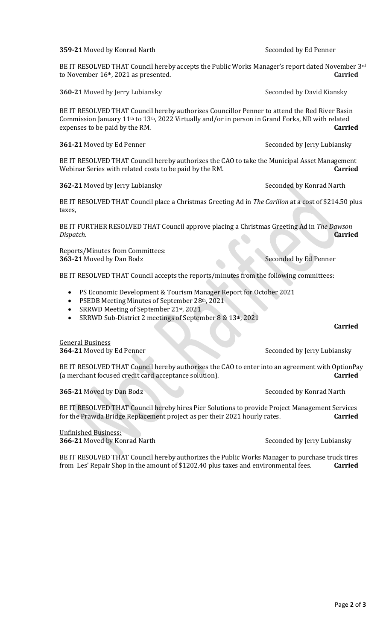**359-21** Moved by Konrad Narth Seconded by Ed Penner

BE IT RESOLVED THAT Council hereby accepts the Public Works Manager's report dated November 3rd to November 16th, 2021 as presented. **Carried**

**360-21** Moved by Jerry Lubiansky Seconded by David Kiansky

BE IT RESOLVED THAT Council hereby authorizes Councillor Penner to attend the Red River Basin Commission January 11th to 13th, 2022 Virtually and/or in person in Grand Forks, ND with related expenses to be paid by the RM. **Carried**

**361-21** Moved by Ed Penner Seconded by Jerry Lubiansky

BE IT RESOLVED THAT Council hereby authorizes the CAO to take the Municipal Asset Management Webinar Series with related costs to be paid by the RM. **Carried**

**362-21** Moved by Jerry Lubiansky Seconded by Konrad Narth

BE IT RESOLVED THAT Council place a Christmas Greeting Ad in *The Carillon* at a cost of \$214.50 plus taxes,

BE IT FURTHER RESOLVED THAT Council approve placing a Christmas Greeting Ad in *The Dawson Dispatch*. **Carried**

Reports/Minutes from Committees: **363-21** Moved by Dan Bodz Seconded by Ed Penner

BE IT RESOLVED THAT Council accepts the reports/minutes from the following committees:

- PS Economic Development & Tourism Manager Report for October 2021
- PSEDB Meeting Minutes of September 28th, 2021
- SRRWD Meeting of September 21st, 2021
- SRRWD Sub-District 2 meetings of September 8 & 13th, 2021

**364-21** Moved by Ed Penner Seconded by Jerry Lubiansky

BE IT RESOLVED THAT Council hereby authorizes the CAO to enter into an agreement with OptionPay (a merchant focused credit card acceptance solution). **Carried**

**365-21** Moved by Dan Bodz Seconded by Konrad Narth

BE IT RESOLVED THAT Council hereby hires Pier Solutions to provide Project Management Services for the Prawda Bridge Replacement project as per their 2021 hourly rates. **Carried**

Unfinished Business: **366-21** Moved by Konrad Narth Seconded by Jerry Lubiansky

BE IT RESOLVED THAT Council hereby authorizes the Public Works Manager to purchase truck tires from Les' Repair Shop in the amount of \$1202.40 plus taxes and environmental fees. **Carried**

**Carried**